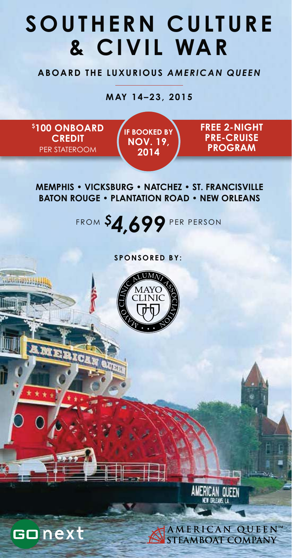# **SOUTHERN CULTURE & CIVIL WAR**

**ABOARD THE LUXURIOUS** *AMERICAN QUEEN*

**MAY 14–23, 2015**

**\$ 100 ONBOARD CREDIT**  PER STATEROOM

Alian (22)

Gonext

**IF BOOKED BY NOV. 19, 2014**

**FREE 2-NIGHT PRE-CRUISE PROGRAM**

**MEMPHIS • VICKSBURG • NATCHEZ • ST. FRANCISVILLE BATON ROUGE • PLANTATION ROAD • NEW ORLEANS**

FROM *\$ 4,699* PER PERSON

**SPONSORED BY:**





AMERICAN QUEEN™ **STEAMBOAT COMPANY**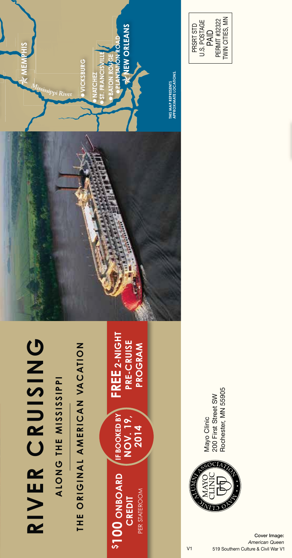

ALONG THE MISSISSIPPI **ALONG THE MISSISSIPPI**

THE ORIGINAL AMERICAN VACATION **ZOITAUTA AMERINA ITANGINAL BERICATIONAL AMERICAN VACATION AMERICAN VACATION AMERICAN VACATION AMERICAN VACATION** 

**IF BOOKED BY IF BOOKED BY 2014 NOV. 19, STOO ONBOARD**<br> **CREDIT \$100 ONBOARD**  PER STATEROOM PER STATEROOM

**FREE 2-NIGHT**  FREE 2-NIGHT **PRE-CRUISE PRE-CRUISE**  PROGRAM **PROGRAM**





Mayo Clinic<br>200 First Street SW<br>Rochester, MN 55905 Rochester, MN 55905200 First Street SW Mayo Clinic

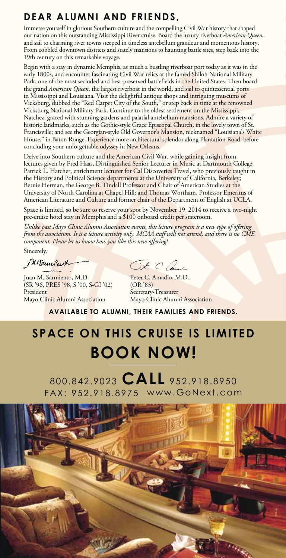### **DEAR ALUMNI AND FRIENDS,**

Immerse yourself in glorious Southern culture and the compelling Civil War history that shap our nation on this outstanding Mississippi River cruise. Board the luxury riverboat *American Queen* and sail to charming river towns steeped in timeless antebellum grandeur and momentous histor From cobbled downtown districts and stately mansions to haunting battle sites, step back into the 19th century on this remarkable voyage.

Begin with a stay in dynamic Memphis, as much a bustling riverboat port today as it was in the early 1800s, and encounter fascinating Civil War relics at the famed Shiloh National Military Park, one of the most secluded and best-preserved battlefields in the United States. Then boa the grand *American Queen*, the largest riverboat in the world, and sail to quintessential por in Mississippi and Louisiana. Visit the delightful antique shops and intriguing museums of Vicksburg, dubbed the "Red Carpet City of the South," or step back in time at the renowned Vicksburg National Military Park. Continue to the oldest settlement on the Mississippi, Natchez, graced with stunning gardens and palatial antebellum mansions. Admire a variety of historic landmarks, such as the Gothic style Grace Episcopal Church, in the lovely town of St. Francisville; and see the Georgian-style Old Governor's Mansion, nicknamed "Louisiana's White House," in Baton Rouge. Experience more architectural splendor along Plantation Road, before concluding your unforgettable odyssey in New Orleans.

Delve into Southern culture and the American Civil War, while gaining insight from lectures given by Fred Haas, Distinguished Senior Lecturer in Music at Dartmouth College; Patrick L. Hatcher, enrichment lecturer for Cal Discoveries Travel, who previously taught in the History and Political Science departments at the University of California, Berkeley; Bernie Herman, the George B. Tindall Professor and Chair of American Studies at the University of North Carolina at Chapel Hill; and Thomas Wortham, Professor Emeritus of American Literature and Culture and former chair of the Department of English at UCLA.

Space is limited, so be sure to reserve your spot by November 19, 2014 to receive a two-night pre-cruise hotel stay in Memphis and a \$100 onboard credit per stateroom.

*Unlike past Mayo Clinic Alumni Association events, this leisure program is a new type of offering from the association. It is a leisure activity only. MCAA staff will not attend, and there is no CME component. Please let us know how you like this new offering!* 

Sincerely,

Mouncart

Juan M. Sarmiento, M.D.<br>(SR '96, PRES '98, S '00, S-GI '02) (OR '83) (SR '96, PRES '98, S '00, S-GI '02)<br>President Mayo Clinic Alumni Association

Ot C and

Secretary-Treasurer<br>Mayo Clinic Alumni Association

**AVAILABLE TO ALUMNI, THEIR FAMILIES AND FRIENDS.**

## **SPACE ON THIS CRUISE IS LIMITED BOOK NOW!**

800.842.9023 **CALL** 952.918.8950 FAX: 952.918.8975 www.GoNext.com

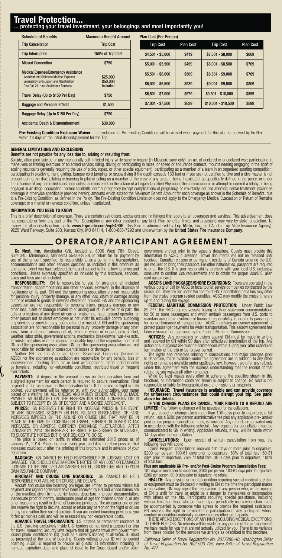#### **Travel Protection...** protecting your travel investment, your belongings and most importantly you!

| <b>Schedule of Benefits</b>                                                                                                                                                         | <b>Maximum Benefit Amount</b>    |
|-------------------------------------------------------------------------------------------------------------------------------------------------------------------------------------|----------------------------------|
| <b>Trip Cancellation</b>                                                                                                                                                            | <b>Trip Cost</b>                 |
| <b>Trip Interruption</b>                                                                                                                                                            | 150% of Trip Cost                |
| <b>Missed Connection</b>                                                                                                                                                            | \$750                            |
| <b>Medical Expense/Emergency Assistance</b><br><b>Accident and Sickness Medical Expense</b><br><b>Emergency Evacuation and Repatriation</b><br>One Call 24-Hour Assistance Services | \$25,000<br>\$50,000<br>Included |
| Travel Delay (Up to \$150 Per Day)                                                                                                                                                  | \$750                            |
| <b>Baggage and Personal Effects</b>                                                                                                                                                 | \$1.500                          |
| Baggage Delay (Up to \$150 Per Day)                                                                                                                                                 | \$750                            |
| <b>Accidental Death &amp; Dismemberment</b>                                                                                                                                         | \$30,000                         |

| Plan Cost (Per Person) |                  |                     |                  |
|------------------------|------------------|---------------------|------------------|
| <b>Trip Cost</b>       | <b>Plan Cost</b> | <b>Trip Cost</b>    | <b>Plan Cost</b> |
| $$4,501 - $5,000$      | \$419            | $$7,501 - $8,000$   | \$669            |
| $$5,001 - $5,500$      | \$459            | $$8,001 - $8,500$   | \$709            |
| $$5,501 - $6,000$      | \$509            | $$8,501 - $9,000$   | \$769            |
| $$6,001 - $6,500$      | \$539            | $$9,001 - $9,500$   | \$809            |
| $$6,501 - $7,000$      | \$579            | \$9,501 - \$10,000  | \$859            |
| $$7,001 - $7,500$      | \$629            | \$10,001 - \$10,500 | \$899            |

**Pre-Existing Condition Exclusion Waiver** - the exclusion for Pre-Existing Conditions will be waived when payment for this plan is received by Go Next within 14 days of the initial deposit/payment for the Trip.

#### **GENERAL LIMITATIONS AND EXCLUSIONS**

#### Benefits are not payable for any loss due to, arising or resulting from:

Suicide, attempted suicide or any intentionally self-inflicted injury while sane or insane (in Missouri, sane only); an act of declared or undeclared war; participating in<br>maneuvers or training exercises of an armed servic participating in skydiving, hang gliding, bungee cord jumping, or scuba diving if the depth exceeds 130 feet or if you are not certified to dive and a dive master is not<br>present during the dive; piloting or learning to pil the influence of any controlled substance unless administered on the advice of a Legally Qualified Physician; the commission of or attempt to commit a felony or being engaged in an illegal occupation; normal childbirth, normal pregnancy (except complications of pregnancy) or voluntarily induced abortion; dental treatment (except as<br>coverage is otherwise specifically provided herein); am to a Pre-Existing Condition, as defined in the Policy. The Pre-Existing Condition Limitation does not apply to the Emergency Medical Evacuation or Return of Remains<br>coverage; or a mental or nervous condition, unless hospit

#### **INFORMATION YOU NEED TO KNOW**

This is a brief description of coverage. There are certain restrictions, exclusions and limitations that apply to all coverages and services. This advertisement does not constitute or form any part of the Plan Description or any other contract of any kind. Plan benefits, limits, and provisions may vary by state jurisdiction. To<br>review full plan details online, go to **www.tripmate.com/w** 

#### **OPERATOR/PARTICIPANT AGREEMENT**

**Go Next, Inc.** (hereinafter GN), located at 8000 West 78th Street, Suite 345, Minneapolis, Minneapolis 55439-2538, in return of rull payment by you of the amount specified, is responsible to arrange for the transportation

**RESPONSIBILITY:** GN is responsible to you for arranging all included<br>transportation, accommodations and other services. However, in the absence of<br>negligence on its part, GN and the sponsoring association are not responsi

flyer tickets.<br>**PAYMENT:** A deposit in the amount shown on the reservation form and<br>a signed agreement for each person is required to secure reservations. Final<br>payment is due as shown on the reservation form. If the cruis

**PRICES:** GN RESERVES THE RIGHT TO INCREASE PRICES IN THE EVENT<br>OF ANY INCREASED SECURITY OR FUEL RELATED SURCHARGES, OR FARE<br>INCREASES IMPOSED BY THE AIRLINE OR CRUISE LINE THAT MAY BE IN<br>PLACE AT THE TIME OF TICKETING OR

**BAGGAGE:** GN CANNOT BE HELD RESPONSIBLE FOR LUGGAGE LOST OR<br>DAMAGED. YOU SHOULD GIVE IMMEDIATE NOTICE OF ANY LOST OR DAMAGED<br>LUGGAGE TO THE INVOLVED AIR CARRIER, HOTEL, CRUISE LINE AND TO YOUR<br>OWN INSURANCE COMPANY.

**AIRCRAFT AND CRUISE LINE BOARDING:** GN CANNOT BE HELD RESPONSIBLE FOR AIRLINE OR CRUISE LINE DELAYS. Aircraft and cruise line boarding privileges are limited to persons whose full

payment and signed agreement have been received by GN and whose names are<br>on the manifest given to the carrier before departure. Improper documentation,<br>inadequate proof of identity, inadequate proof of age for children un

forfeit all monies paid and will be assessed any non-recoverable costs.<br>
the **DLANCE TRAVEL INFORMATION:** U.S. citizens or permanent residents of<br>
the U.S. traveling exclusively inside U.S. borders do not need a passport o

government entities prior to the vessel's departure. Guests must provide this information to AQSC in advance. Travel documents will not be released until received. Canadian citizens or permanent residents of Canada enterin to enter the U.S. It is your responsibility to check with your local U.S. embassy/ consulate to confirm visa requirements and to obtain the proper visa/U.S. alien card (green card)

**AQSC'S LAND PACKAGES/SHORE EXCURSIONS:** Tours are operated in the various ports of call by AQSC or local tourist service companies contracted by the cruise line. They are not under the control of GN. Cancellation penalties may differ

from the cruise program related penalties. AQSC may modify the cruise itinerary<br> **probe and during the voyage.**<br> **FEDERAL MARITIME COMMISSION PROTECTION:** Under Public Law<br>
89-777, the FMC requires vessels having berth or

**NOTICES:** Any complaints or claims against GN must be made in writing<br>and received by GN within 90 days after scheduled termination of the trip. Any<br>action or suit against GN must be commenced within 1 (one) year after sc

The rights and remedies relating to cancellations and major changes prior<br>to departure, made available under this agreement are in addition to any other<br>rights or remedies available under applicable law. However, we offer

**INSURANCE: Travel insurance is available and can provide coverage for unforeseen circumstances that could disrupt your trip. See panel above for details.**

**IF YOU CHANGE PLANS OR CANCEL, YOUR RIGHTS TO A REFUND ARE LIMITED:** The following charges will be assessed for cancellations. If you cancel or change plans more than 100 days prior to departure, a full

If you cancel or change plans more than 100 days prior to departure, a full refund, less a \$200 per person administrative fee plus any applicable pre- and/or<br>post-cruise program cancellation fees, is provided. Any retunds

**CANCELLATIONS:** Upon receipt of written cancellation from you, the following fees will apply:<br>Clousing fees will apply:<br>Cruise Program cancellations received 101 days or more prior to departure,<br>\$200 per person; 100-61 da

discovering the person; 100-61 days prior to departure, 50% of total fare; 60-31 prior to departure, 75% of total fare; 30-0 days prior to departure, 100% \$200 per p<br>days prior to<br>of total fare.

**Plus any applicable GN Pre- and/or Post-Cruise Program Cancellation Fees:**<br>101 days or more prior to departure, \$100 per person; 100-61 days prior to departure,<br>\$200 per person; 60-0 days prior to departure, no refund.

**HEALTH:** Any physical or mental condition requiring special medical attention<br>or equipment must be disclosed in writing to GN at the time the participant makes<br>a reservation. GN may reject the reservation of any person wh

be accompanied by someone who agrees to provide the required assistance.<br>GN reserves the right to terminate the participation of any participant whose<br>conduct or condition materially inconveniences other participants.<br>THER from these policies for the services we arrange as described in this brochure.

of Travel Registration No. 602-900-725, Iowa Seller of Travel Registration<br>No. 477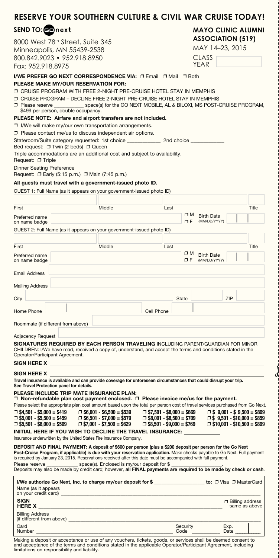| SEND TO: comprext                                                                                                                                                                                                                                                                                                                                                                                                                                                                                                                                                                                                                                                                                                                                                                                                                                                                                               |  |                                                                                                          |                                                                                                          |      |          | <b>MAYO CLINIC ALUMNI</b> |      |                                                                                                                |
|-----------------------------------------------------------------------------------------------------------------------------------------------------------------------------------------------------------------------------------------------------------------------------------------------------------------------------------------------------------------------------------------------------------------------------------------------------------------------------------------------------------------------------------------------------------------------------------------------------------------------------------------------------------------------------------------------------------------------------------------------------------------------------------------------------------------------------------------------------------------------------------------------------------------|--|----------------------------------------------------------------------------------------------------------|----------------------------------------------------------------------------------------------------------|------|----------|---------------------------|------|----------------------------------------------------------------------------------------------------------------|
| 8000 West 78 <sup>th</sup> Street, Suite 345                                                                                                                                                                                                                                                                                                                                                                                                                                                                                                                                                                                                                                                                                                                                                                                                                                                                    |  |                                                                                                          |                                                                                                          |      |          | <b>ASSOCIATION (519)</b>  |      |                                                                                                                |
| Minneapolis, MN 55439-2538                                                                                                                                                                                                                                                                                                                                                                                                                                                                                                                                                                                                                                                                                                                                                                                                                                                                                      |  |                                                                                                          |                                                                                                          |      |          | MAY 14-23, 2015           |      |                                                                                                                |
| 800.842.9023 • 952.918.8950                                                                                                                                                                                                                                                                                                                                                                                                                                                                                                                                                                                                                                                                                                                                                                                                                                                                                     |  |                                                                                                          |                                                                                                          |      |          | <b>CLASS</b><br>YEAR      |      |                                                                                                                |
| Fax: 952.918.8975                                                                                                                                                                                                                                                                                                                                                                                                                                                                                                                                                                                                                                                                                                                                                                                                                                                                                               |  |                                                                                                          |                                                                                                          |      |          |                           |      |                                                                                                                |
| I/WE PREFER GO NEXT CORRESPONDENCE VIA: □ Email □ Mail □ Both<br><b>PLEASE MAKE MY/OUR RESERVATION FOR:</b><br>O CRUISE PROGRAM WITH FREE 2-NIGHT PRE-CRUISE HOTEL STAY IN MEMPHIS<br>O CRUISE PROGRAM - DECLINE FREE 2-NIGHT PRE-CRUISE HOTEL STAY IN MEMPHIS<br>□ Please reserve<br>\$499 per person, double occupancy.<br>PLEASE NOTE: Airfare and airport transfers are not included.<br>□ I/We will make my/our own transportation arrangements.<br>$\Box$ Please contact me/us to discuss independent air options.<br>Stateroom/Suite category requested: 1st choice _______________ 2nd choice _<br>Bed request: $\Box$ Twin (2 beds) $\Box$ Queen<br>Triple accommodations are an additional cost and subject to availability.<br>Request: □ Triple<br><b>Dinner Seating Preference</b><br>Request: □ Early (5:15 p.m.) □ Main (7:45 p.m.)<br>All guests must travel with a government-issued photo ID. |  | _ space(s) for the GO NEXT MOBILE, AL & BILOXI, MS POST-CRUISE PROGRAM,                                  |                                                                                                          |      |          |                           |      |                                                                                                                |
| GUEST 1: Full Name (as it appears on your government-issued photo ID)                                                                                                                                                                                                                                                                                                                                                                                                                                                                                                                                                                                                                                                                                                                                                                                                                                           |  |                                                                                                          |                                                                                                          |      |          |                           |      |                                                                                                                |
|                                                                                                                                                                                                                                                                                                                                                                                                                                                                                                                                                                                                                                                                                                                                                                                                                                                                                                                 |  | Middle                                                                                                   |                                                                                                          |      |          |                           |      | Title                                                                                                          |
| First<br>Preferred name                                                                                                                                                                                                                                                                                                                                                                                                                                                                                                                                                                                                                                                                                                                                                                                                                                                                                         |  |                                                                                                          |                                                                                                          | Last | $\Box M$ | <b>Birth Date</b>         |      |                                                                                                                |
| on name badge                                                                                                                                                                                                                                                                                                                                                                                                                                                                                                                                                                                                                                                                                                                                                                                                                                                                                                   |  |                                                                                                          |                                                                                                          |      | ΟF       | (MM/DD/YYYY)              |      |                                                                                                                |
| GUEST 2: Full Name (as it appears on your government-issued photo ID)                                                                                                                                                                                                                                                                                                                                                                                                                                                                                                                                                                                                                                                                                                                                                                                                                                           |  |                                                                                                          |                                                                                                          |      |          |                           |      |                                                                                                                |
| First                                                                                                                                                                                                                                                                                                                                                                                                                                                                                                                                                                                                                                                                                                                                                                                                                                                                                                           |  | Middle                                                                                                   |                                                                                                          | Last |          |                           |      | Title                                                                                                          |
| Preferred name                                                                                                                                                                                                                                                                                                                                                                                                                                                                                                                                                                                                                                                                                                                                                                                                                                                                                                  |  |                                                                                                          |                                                                                                          |      | σм       | <b>Birth Date</b>         |      |                                                                                                                |
| on name badge                                                                                                                                                                                                                                                                                                                                                                                                                                                                                                                                                                                                                                                                                                                                                                                                                                                                                                   |  |                                                                                                          |                                                                                                          |      | ΠF.      | (MM/DD/YYYY)              |      |                                                                                                                |
| <b>Email Address</b>                                                                                                                                                                                                                                                                                                                                                                                                                                                                                                                                                                                                                                                                                                                                                                                                                                                                                            |  |                                                                                                          |                                                                                                          |      |          |                           |      |                                                                                                                |
| <b>Mailing Address</b>                                                                                                                                                                                                                                                                                                                                                                                                                                                                                                                                                                                                                                                                                                                                                                                                                                                                                          |  |                                                                                                          |                                                                                                          |      |          |                           |      |                                                                                                                |
| City                                                                                                                                                                                                                                                                                                                                                                                                                                                                                                                                                                                                                                                                                                                                                                                                                                                                                                            |  |                                                                                                          |                                                                                                          |      | State    |                           | ZIP  |                                                                                                                |
| Home Phone                                                                                                                                                                                                                                                                                                                                                                                                                                                                                                                                                                                                                                                                                                                                                                                                                                                                                                      |  |                                                                                                          | Cell Phone                                                                                               |      |          |                           |      |                                                                                                                |
| Roommate (if different from above)                                                                                                                                                                                                                                                                                                                                                                                                                                                                                                                                                                                                                                                                                                                                                                                                                                                                              |  |                                                                                                          |                                                                                                          |      |          |                           |      |                                                                                                                |
| <b>Adjacency Request</b>                                                                                                                                                                                                                                                                                                                                                                                                                                                                                                                                                                                                                                                                                                                                                                                                                                                                                        |  |                                                                                                          |                                                                                                          |      |          |                           |      |                                                                                                                |
| SIGNATURES REQUIRED BY EACH PERSON TRAVELING INCLUDING PARENT/GUARDIAN FOR MINOR<br>CHILDREN: I/We have read, received a copy of, understand, and accept the terms and conditions stated in the<br>Operator/Participant Agreement.                                                                                                                                                                                                                                                                                                                                                                                                                                                                                                                                                                                                                                                                              |  |                                                                                                          |                                                                                                          |      |          |                           |      |                                                                                                                |
| SIGN HERE X                                                                                                                                                                                                                                                                                                                                                                                                                                                                                                                                                                                                                                                                                                                                                                                                                                                                                                     |  |                                                                                                          |                                                                                                          |      |          |                           |      |                                                                                                                |
| <b>SIGN HERE X</b><br>Travel insurance is available and can provide coverage for unforeseen circumstances that could disrupt your trip.<br>See Travel Protection panel for details.                                                                                                                                                                                                                                                                                                                                                                                                                                                                                                                                                                                                                                                                                                                             |  |                                                                                                          |                                                                                                          |      |          |                           |      |                                                                                                                |
| PLEASE INCLUDE TRIP MATE INSURANCE PLAN:<br>$\Box$ Non-refundable plan cost payment enclosed. $\Box$ Please invoice me/us for the payment.<br>Please select the appropriate plan cost amount based upon the total per person cost of travel services purchased from Go Next.                                                                                                                                                                                                                                                                                                                                                                                                                                                                                                                                                                                                                                    |  |                                                                                                          |                                                                                                          |      |          |                           |      |                                                                                                                |
| $\Box$ \$4,501 - \$5,000 = \$419<br>$\Box$ \$5,001 - \$5,500 = \$459<br>$\Box$ \$5,501 - \$6,000 = \$509<br>INITIAL HERE IF YOU WISH TO DECLINE THE TRAVEL INSURANCE:                                                                                                                                                                                                                                                                                                                                                                                                                                                                                                                                                                                                                                                                                                                                           |  | $\Box$ \$6,001 - \$6,500 = \$539<br>$\Box$ \$6,501 - \$7,000 = \$579<br>$\Box$ \$7,001 - \$7,500 = \$629 | $\Box$ \$7,501 - \$8,000 = \$669<br>$\Box$ \$8,001 - \$8,500 = \$709<br>$\Box$ \$8,501 - \$9,000 = \$769 |      |          |                           |      | $\Box$ \$ 9,001 - \$ 9,500 = \$809<br>$\Box$ \$ 9,501 - \$10,000 = \$859<br>$\Box$ \$10,001 - \$10,500 = \$899 |
| Insurance underwritten by the United States Fire Insurance Company.                                                                                                                                                                                                                                                                                                                                                                                                                                                                                                                                                                                                                                                                                                                                                                                                                                             |  |                                                                                                          |                                                                                                          |      |          |                           |      |                                                                                                                |
| DEPOSIT AND FINAL PAYMENT: A deposit of \$600 per person (plus a \$200 deposit per person for the Go Next<br>Post-Cruise Program, if applicable) is due with your reservation application. Make checks payable to Go Next. Full payment<br>is required by January 23, 2015. Reservations received after this date must be accompanied with full payment.<br>space(s). Enclosed is my/our deposit for \$<br>Please reserve<br>Deposits may also be made by credit card; however, all FINAL payments are required to be made by check or cash.                                                                                                                                                                                                                                                                                                                                                                    |  |                                                                                                          |                                                                                                          |      |          |                           |      |                                                                                                                |
| I/We authorize Go Next, Inc. to charge my/our deposit for \$ ___________________ to: □ Visa □ MasterCard<br>Name (as it appears<br>on your credit card) and the state of the state of the state of the state of the state of the state of the state of the state of the state of the state of the state of the state of the state of the state of the state of th                                                                                                                                                                                                                                                                                                                                                                                                                                                                                                                                               |  |                                                                                                          |                                                                                                          |      |          |                           |      |                                                                                                                |
| <b>SIGN</b><br><b>HERE X</b>                                                                                                                                                                                                                                                                                                                                                                                                                                                                                                                                                                                                                                                                                                                                                                                                                                                                                    |  |                                                                                                          |                                                                                                          |      |          |                           |      | <b>Billing address</b><br>same as above                                                                        |
| <b>Billing Address</b><br>(if different from above) (if different from above)                                                                                                                                                                                                                                                                                                                                                                                                                                                                                                                                                                                                                                                                                                                                                                                                                                   |  |                                                                                                          |                                                                                                          |      |          |                           |      |                                                                                                                |
| Card                                                                                                                                                                                                                                                                                                                                                                                                                                                                                                                                                                                                                                                                                                                                                                                                                                                                                                            |  |                                                                                                          |                                                                                                          |      | Security |                           | Exp. |                                                                                                                |
| <b>Number</b>                                                                                                                                                                                                                                                                                                                                                                                                                                                                                                                                                                                                                                                                                                                                                                                                                                                                                                   |  |                                                                                                          |                                                                                                          |      | Code     |                           | Date |                                                                                                                |

 $\overline{d}$ 

**RESERVE YOUR SOUTHERN CULTURE & CIVIL WAR CRUISE TODAY!**

Making a deposit or acceptance or use of any vouchers, tickets, goods, or services shall be deemed consent to<br>and acceptance of the terms and conditions stated in the applicable Operator/Participant Agreement, including<br>li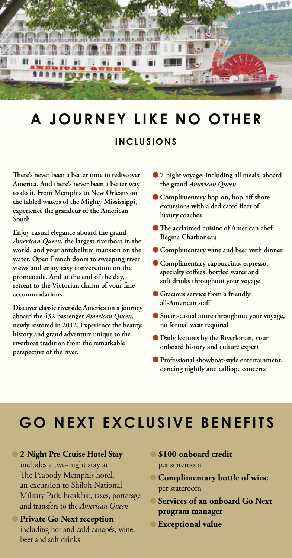

### **A JOURNEY LIKE NO OTHER**

#### **INCLUSIONS**

**There's never been a better time to rediscover America. And there's never been a better way to do it. From Memphis to New Orleans on the fabled waters of the Mighty Mississippi, experience the grandeur of the American South.** 

**Enjoy casual elegance aboard the grand**  *American Queen***, the largest riverboat in the world, and your antebellum mansion on the water. Open French doors to sweeping river views and enjoy easy conversation on the promenade. And at the end of the day, retreat to the Victorian charm of your fine accommodations.**

**Discover classic riverside America on a journey aboard the 432-passenger** *American Queen***, newly restored in 2012. Experience the beauty, history and grand adventure unique to the riverboat tradition from the remarkable perspective of the river.**

- **7-night voyage, including all meals, aboard the grand** *American Queen*
- **Complimentary hop-on, hop-off shore excursions with a dedicated fleet of luxury coaches**
- **The acclaimed cuisine of American chef Regina Charboneau**
- **Complimentary wine and beer with dinner**
- **Complimentary cappuccino, espresso, specialty coffees, bottled water and soft drinks throughout your voyage**
- **Gracious service from a friendly all-American staff**
- **Smart-casual attire throughout your voyage, no formal wear required**
- **Daily lectures by the Riverlorian, your onboard history and culture expert**
- **Professional showboat-style entertainment, dancing nightly and calliope concerts**

## **GO NEXT EXCLUSIVE BENEFITS**

#### **2-Night Pre-Cruise Hotel Stay**

includes a two-night stay at The Peabody Memphis hotel, an excursion to Shiloh National Military Park, breakfast, taxes, porterage and transfers to the *American Queen*

#### **• Private Go Next reception** including hot and cold canapés, wine, beer and soft drinks

- **\$100 onboard credit**  per stateroom
- **Complimentary bottle of wine** per stateroom
- **Services of an onboard Go Next program manager**
- **Exceptional value**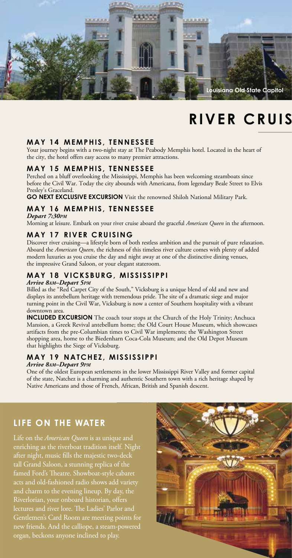

### **RIVER CRUIS**

#### **MAY 14 MEMPHIS, TENNESSEE**

Your journey begins with a two-night stay at The Peabody Memphis hotel. Located in the heart of the city, the hotel offers easy access to many premier attractions.

#### **MAY 15 MEMPHIS, TENNESSEE**

Perched on a bluff overlooking the Mississippi, Memphis has been welcoming steamboats since before the Civil War. Today the city abounds with Americana, from legendary Beale Street to Elvis Presley's Graceland.

**GO NEXT EXCLUSIVE EXCURSION** Visit the renowned Shiloh National Military Park.

#### **MAY 16 MEMPHIS, TENNESSEE**

*Depart 7:30PM*

Morning at leisure. Embark on your river cruise aboard the graceful *American Queen* in the afternoon.

#### **MAY 17 RIVER CRUISING**

Discover river cruising—a lifestyle born of both restless ambition and the pursuit of pure relaxation. Aboard the *American Queen*, the richness of this timeless river culture comes with plenty of added modern luxuries as you cruise the day and night away at one of the distinctive dining venues, the impressive Grand Saloon, or your elegant stateroom.

#### **MAY 18 VICKSBURG, MISSISSIPPI**

#### *Arrive 8AM–Depart 5PM*

Billed as the "Red Carpet City of the South," Vicksburg is a unique blend of old and new and displays its antebellum heritage with tremendous pride. The site of a dramatic siege and major turning point in the Civil War, Vicksburg is now a center of Southern hospitality with a vibrant downtown area

**INCLUDED EXCURSION** The coach tour stops at the Church of the Holy Trinity; Anchuca Mansion, a Greek Revival antebellum home; the Old Court House Museum, which showcases artifacts from the pre-Columbian times to Civil War implements; the Washington Street shopping area, home to the Biedenharn Coca-Cola Museum; and the Old Depot Museum that highlights the Siege of Vicksburg.

#### **MAY 19 NATCHEZ, MISSISSIPPI**

*Arrive 8AM–Depart 9PM*

One of the oldest European settlements in the lower Mississippi River Valley and former capital of the state, Natchez is a charming and authentic Southern town with a rich heritage shaped by Native Americans and those of French, African, British and Spanish descent.

#### **LIFE ON THE WATER**

Life on the *American Queen* is as unique and enriching as the riverboat tradition itself. Night after night, music fills the majestic two-deck tall Grand Saloon, a stunning replica of the acts and old-fashioned radio shows add variety and charm to the evening lineup. By day, the Riverlorian, your onboard historian, offers Gentlemen's Card Room are meeting points for new friends. And the calliope, a steam-powered organ, beckons anyone inclined to play.

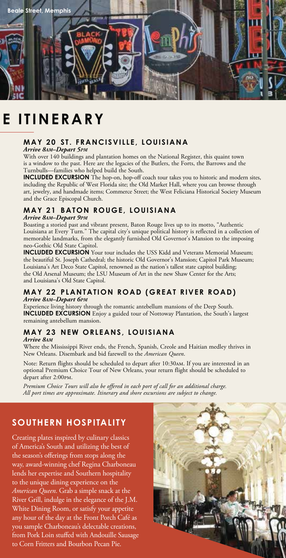

### **E ITINERARY**

#### **MAY 20 ST. FRANCISVILLE, LOUISIANA**

*Arrive 8AM–Depart 5PM*

With over 140 buildings and plantation homes on the National Register, this quaint town is a window to the past. Here are the legacies of the Butlers, the Forts, the Barrows and the Turnbulls—families who helped build the South.

**INCLUDED EXCURSION** The hop-on, hop-off coach tour takes you to historic and modern sites, including the Republic of West Florida site; the Old Market Hall, where you can browse through art, jewelry, and handmade items; Commerce Street; the West Feliciana Historical Society Museum and the Grace Episcopal Church.

#### **MAY 21 BATON ROUGE, LOUISIANA**

*Arrive 8AM–Depart 9PM*

Boasting a storied past and vibrant present, Baton Rouge lives up to its motto, "Authentic Louisiana at Every Turn." The capital city's unique political history is reflected in a collection of memorable landmarks, from the elegantly furnished Old Governor's Mansion to the imposing neo-Gothic Old State Capitol.

**INCLUDED EXCURSION** Your tour includes the USS Kidd and Veterans Memorial Museum; the beautiful St. Joseph Cathedral; the historic Old Governor's Mansion; Capitol Park Museum; Louisiana's Art Deco State Capitol, renowned as the nation's tallest state capitol building; the Old Arsenal Museum; the LSU Museum of Art in the new Shaw Center for the Arts; and Louisiana's Old State Capitol.

#### **MAY 22 PLANTATION ROAD (GREAT RIVER ROAD)** *Arrive 8AM–Depart 6PM*

Experience living history through the romantic antebellum mansions of the Deep South. **INCLUDED EXCURSION** Enjoy a guided tour of Nottoway Plantation, the South's largest remaining antebellum mansion.

#### **MAY 23 NEW ORLEANS, LOUISIANA**

*Arrive 8AM*

Where the Mississippi River ends, the French, Spanish, Creole and Haitian medley thrives in New Orleans. Disembark and bid farewell to the *American Queen*.

Note: Return flights should be scheduled to depart after 10:30am. If you are interested in an optional Premium Choice Tour of New Orleans, your return flight should be scheduled to depart after 2:00pm.

*Premium Choice Tours will also be offered in each port of call for an additional charge. All port times are approximate. Itinerary and shore excursions are subject to change.*

### **SOUTHERN HOSPITALITY**

Creating plates inspired by culinary classics of America's South and utilizing the best of the season's offerings from stops along the way, award-winning chef Regina Charboneau lends her expertise and Southern hospitality to the unique dining experience on the *American Queen*. Grab a simple snack at the River Grill, indulge in the elegance of the J.M. White Dining Room, or satisfy your appetite any hour of the day at the Front Porch Café as you sample Charboneau's delectable creations, from Pork Loin stuffed with Andouille Sausage to Corn Fritters and Bourbon Pecan Pie.

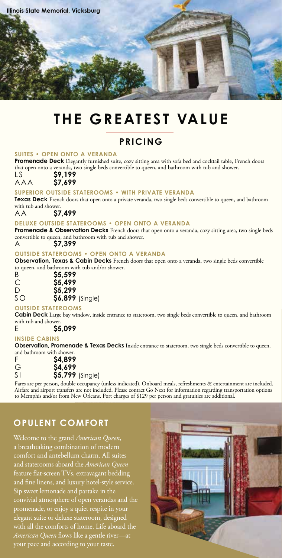

### **THE GREATEST VALUE**

#### **PRICING**

#### **SUITES • OPEN ONTO A VERANDA**

**Promenade Deck** Elegantly furnished suite, cozy sitting area with sofa bed and cocktail table, French doors that open onto a veranda, two single beds convertible to queen, and bathroom with tub and shower.<br>LS S9.199

LS **\$9,199**

AAA **\$7,699 SUPERIOR OUTSIDE STATEROOMS • WITH PRIVATE VERANDA**

**Texas Deck** French doors that open onto a private veranda, two single beds convertible to queen, and bathroom

with tub and shower.<br>A  $\uparrow$  57.499

### AA **\$7,499 DELUXE OUTSIDE STATEROOMS • OPEN ONTO A VERANDA**

Promenade & Observation Decks French doors that open onto a veranda, cozy sitting area, two single beds convertible to queen, and bathroom with tub and shower.<br>A 57,399

### A **\$7,399 OUTSIDE STATEROOMS • OPEN ONTO A VERANDA**

**Observation, Texas & Cabin Decks** French doors that open onto a veranda, two single beds convertible to queen, and bathroom with tub and/or shower.

| B  | \$5,599                   |
|----|---------------------------|
| С  | \$5,499                   |
| D  | \$5,299                   |
| SO | \$6,899 (Single)          |
|    | <b>OUTSIDE STATEROOMS</b> |

**Cabin Deck** Large bay window, inside entrance to stateroom, two single beds convertible to queen, and bathroom with tub and shower.

### E **\$5,099 INSIDE CABINS**

**Observation, Promenade & Texas Decks** Inside entrance to stateroom, two single beds convertible to queen, and bathroom with shower.

| F   | S4.899          |  |
|-----|-----------------|--|
| G   | \$4,699         |  |
| S I | \$5,799 (Single |  |

SI **\$5,799** (Single) Fares are per person, double occupancy (unless indicated). Onboard meals, refreshments & entertainment are included. Airfare and airport transfers are not included. Please contact Go Next for information regarding transportation options to Memphis and/or from New Orleans. Port charges of \$129 per person and gratuities are additional.

#### **OPULENT COMFORT**

Welcome to the grand *American Queen*, a breathtaking combination of modern comfort and antebellum charm. All suites and staterooms aboard the *American Queen*  feature flat-screen TVs, extravagant bedding and fine linens, and luxury hotel-style service. Sip sweet lemonade and partake in the convivial atmosphere of open verandas and the promenade, or enjoy a quiet respite in your elegant suite or deluxe stateroom, designed with all the comforts of home. Life aboard the *American Queen* flows like a gentle river—at your pace and according to your taste.